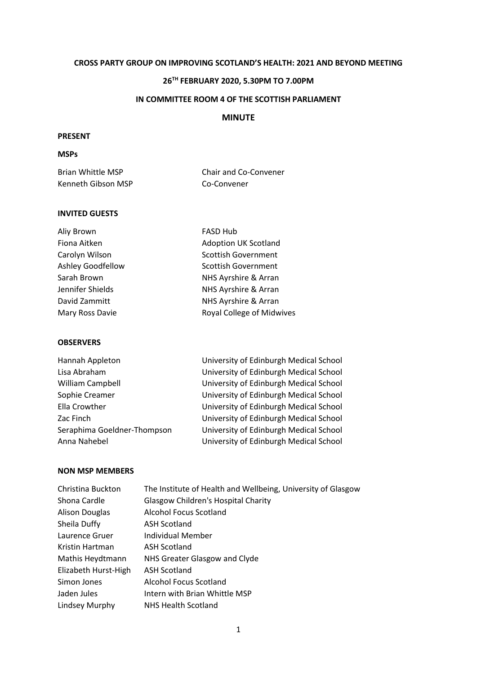## **CROSS PARTY GROUP ON IMPROVING SCOTLAND'S HEALTH: 2021 AND BEYOND MEETING**

# **26TH FEBRUARY 2020, 5.30PM TO 7.00PM**

### **IN COMMITTEE ROOM 4 OF THE SCOTTISH PARLIAMENT**

# **MINUTE**

# **PRESENT**

# **MSPs**

| Brian Whittle MSP  | Chair and Co-Convener |
|--------------------|-----------------------|
| Kenneth Gibson MSP | Co-Convener           |

### **INVITED GUESTS**

| Aliy Brown        | <b>FASD Hub</b>             |
|-------------------|-----------------------------|
| Fiona Aitken      | <b>Adoption UK Scotland</b> |
| Carolyn Wilson    | <b>Scottish Government</b>  |
| Ashley Goodfellow | <b>Scottish Government</b>  |
| Sarah Brown       | NHS Ayrshire & Arran        |
| Jennifer Shields  | NHS Ayrshire & Arran        |
| David Zammitt     | NHS Ayrshire & Arran        |
| Mary Ross Davie   | Royal College of Midwives   |
|                   |                             |

#### **OBSERVERS**

| University of Edinburgh Medical School |
|----------------------------------------|
| University of Edinburgh Medical School |
| University of Edinburgh Medical School |
| University of Edinburgh Medical School |
| University of Edinburgh Medical School |
| University of Edinburgh Medical School |
| University of Edinburgh Medical School |
| University of Edinburgh Medical School |
|                                        |

## **NON MSP MEMBERS**

| Christina Buckton     | The Institute of Health and Wellbeing, University of Glasgow |
|-----------------------|--------------------------------------------------------------|
| Shona Cardle          | <b>Glasgow Children's Hospital Charity</b>                   |
| <b>Alison Douglas</b> | <b>Alcohol Focus Scotland</b>                                |
| Sheila Duffy          | <b>ASH Scotland</b>                                          |
| Laurence Gruer        | Individual Member                                            |
| Kristin Hartman       | <b>ASH Scotland</b>                                          |
| Mathis Heydtmann      | NHS Greater Glasgow and Clyde                                |
| Elizabeth Hurst-High  | <b>ASH Scotland</b>                                          |
| Simon Jones           | Alcohol Focus Scotland                                       |
| Jaden Jules           | Intern with Brian Whittle MSP                                |
| Lindsey Murphy        | <b>NHS Health Scotland</b>                                   |
|                       |                                                              |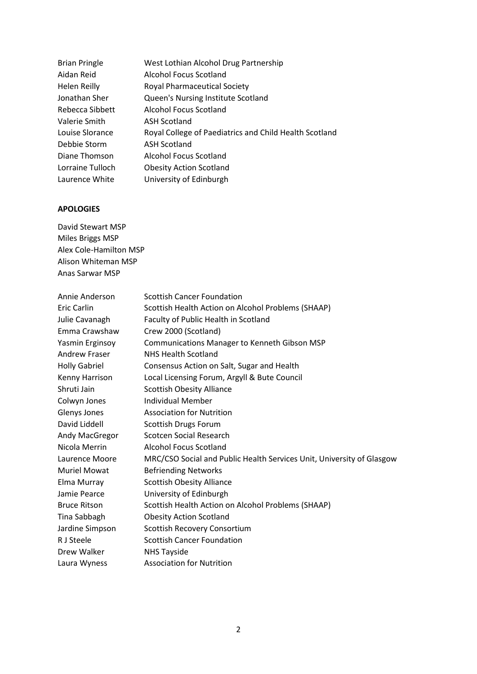| <b>Brian Pringle</b> | West Lothian Alcohol Drug Partnership                  |
|----------------------|--------------------------------------------------------|
| Aidan Reid           | Alcohol Focus Scotland                                 |
| Helen Reilly         | <b>Royal Pharmaceutical Society</b>                    |
| Jonathan Sher        | Queen's Nursing Institute Scotland                     |
| Rebecca Sibbett      | Alcohol Focus Scotland                                 |
| Valerie Smith        | <b>ASH Scotland</b>                                    |
| Louise Slorance      | Royal College of Paediatrics and Child Health Scotland |
| Debbie Storm         | <b>ASH Scotland</b>                                    |
| Diane Thomson        | Alcohol Focus Scotland                                 |
| Lorraine Tulloch     | <b>Obesity Action Scotland</b>                         |
| Laurence White       | University of Edinburgh                                |

# **APOLOGIES**

David Stewart MSP Miles Briggs MSP Alex Cole-Hamilton MSP Alison Whiteman MSP Anas Sarwar MSP

| Annie Anderson       | <b>Scottish Cancer Foundation</b>                                     |
|----------------------|-----------------------------------------------------------------------|
| <b>Eric Carlin</b>   | Scottish Health Action on Alcohol Problems (SHAAP)                    |
| Julie Cavanagh       | Faculty of Public Health in Scotland                                  |
| Emma Crawshaw        | Crew 2000 (Scotland)                                                  |
| Yasmin Erginsoy      | Communications Manager to Kenneth Gibson MSP                          |
| Andrew Fraser        | <b>NHS Health Scotland</b>                                            |
| <b>Holly Gabriel</b> | Consensus Action on Salt, Sugar and Health                            |
| Kenny Harrison       | Local Licensing Forum, Argyll & Bute Council                          |
| Shruti Jain          | <b>Scottish Obesity Alliance</b>                                      |
| Colwyn Jones         | <b>Individual Member</b>                                              |
| Glenys Jones         | <b>Association for Nutrition</b>                                      |
| David Liddell        | Scottish Drugs Forum                                                  |
| Andy MacGregor       | Scotcen Social Research                                               |
| Nicola Merrin        | <b>Alcohol Focus Scotland</b>                                         |
| Laurence Moore       | MRC/CSO Social and Public Health Services Unit, University of Glasgow |
| <b>Muriel Mowat</b>  | <b>Befriending Networks</b>                                           |
| Elma Murray          | <b>Scottish Obesity Alliance</b>                                      |
| Jamie Pearce         | University of Edinburgh                                               |
| <b>Bruce Ritson</b>  | Scottish Health Action on Alcohol Problems (SHAAP)                    |
| Tina Sabbagh         | <b>Obesity Action Scotland</b>                                        |
| Jardine Simpson      | Scottish Recovery Consortium                                          |
| R J Steele           | <b>Scottish Cancer Foundation</b>                                     |
| Drew Walker          | <b>NHS Tayside</b>                                                    |
| Laura Wyness         | <b>Association for Nutrition</b>                                      |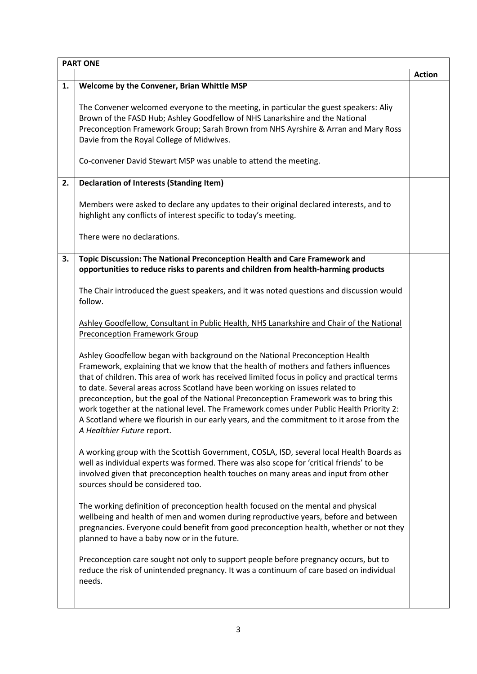|    | <b>PART ONE</b>                                                                                                                                                                                                                                                                                                                                                                                                                                                                                                                                                                                                                                                      |               |
|----|----------------------------------------------------------------------------------------------------------------------------------------------------------------------------------------------------------------------------------------------------------------------------------------------------------------------------------------------------------------------------------------------------------------------------------------------------------------------------------------------------------------------------------------------------------------------------------------------------------------------------------------------------------------------|---------------|
|    |                                                                                                                                                                                                                                                                                                                                                                                                                                                                                                                                                                                                                                                                      | <b>Action</b> |
| 1. | Welcome by the Convener, Brian Whittle MSP                                                                                                                                                                                                                                                                                                                                                                                                                                                                                                                                                                                                                           |               |
|    | The Convener welcomed everyone to the meeting, in particular the guest speakers: Aliy<br>Brown of the FASD Hub; Ashley Goodfellow of NHS Lanarkshire and the National<br>Preconception Framework Group; Sarah Brown from NHS Ayrshire & Arran and Mary Ross<br>Davie from the Royal College of Midwives.                                                                                                                                                                                                                                                                                                                                                             |               |
|    | Co-convener David Stewart MSP was unable to attend the meeting.                                                                                                                                                                                                                                                                                                                                                                                                                                                                                                                                                                                                      |               |
| 2. | <b>Declaration of Interests (Standing Item)</b>                                                                                                                                                                                                                                                                                                                                                                                                                                                                                                                                                                                                                      |               |
|    | Members were asked to declare any updates to their original declared interests, and to<br>highlight any conflicts of interest specific to today's meeting.                                                                                                                                                                                                                                                                                                                                                                                                                                                                                                           |               |
|    | There were no declarations.                                                                                                                                                                                                                                                                                                                                                                                                                                                                                                                                                                                                                                          |               |
| 3. | Topic Discussion: The National Preconception Health and Care Framework and<br>opportunities to reduce risks to parents and children from health-harming products                                                                                                                                                                                                                                                                                                                                                                                                                                                                                                     |               |
|    | The Chair introduced the guest speakers, and it was noted questions and discussion would<br>follow.                                                                                                                                                                                                                                                                                                                                                                                                                                                                                                                                                                  |               |
|    | Ashley Goodfellow, Consultant in Public Health, NHS Lanarkshire and Chair of the National                                                                                                                                                                                                                                                                                                                                                                                                                                                                                                                                                                            |               |
|    | <b>Preconception Framework Group</b>                                                                                                                                                                                                                                                                                                                                                                                                                                                                                                                                                                                                                                 |               |
|    | Ashley Goodfellow began with background on the National Preconception Health<br>Framework, explaining that we know that the health of mothers and fathers influences<br>that of children. This area of work has received limited focus in policy and practical terms<br>to date. Several areas across Scotland have been working on issues related to<br>preconception, but the goal of the National Preconception Framework was to bring this<br>work together at the national level. The Framework comes under Public Health Priority 2:<br>A Scotland where we flourish in our early years, and the commitment to it arose from the<br>A Healthier Future report. |               |
|    | A working group with the Scottish Government, COSLA, ISD, several local Health Boards as<br>well as individual experts was formed. There was also scope for 'critical friends' to be<br>involved given that preconception health touches on many areas and input from other<br>sources should be considered too.                                                                                                                                                                                                                                                                                                                                                     |               |
|    | The working definition of preconception health focused on the mental and physical<br>wellbeing and health of men and women during reproductive years, before and between<br>pregnancies. Everyone could benefit from good preconception health, whether or not they<br>planned to have a baby now or in the future.                                                                                                                                                                                                                                                                                                                                                  |               |
|    | Preconception care sought not only to support people before pregnancy occurs, but to<br>reduce the risk of unintended pregnancy. It was a continuum of care based on individual<br>needs.                                                                                                                                                                                                                                                                                                                                                                                                                                                                            |               |
|    |                                                                                                                                                                                                                                                                                                                                                                                                                                                                                                                                                                                                                                                                      |               |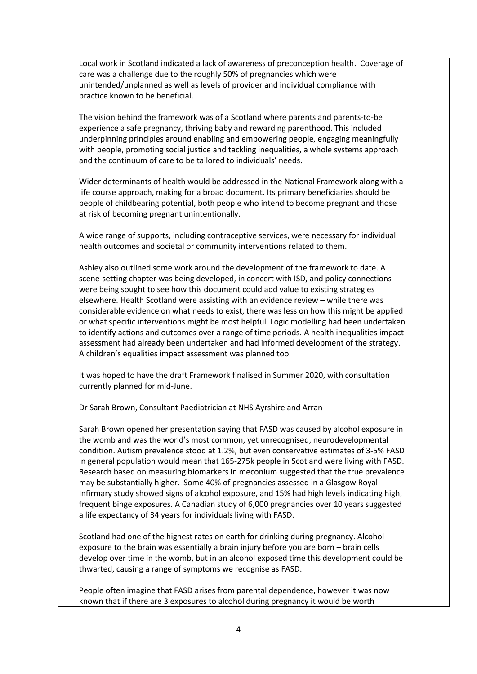Local work in Scotland indicated a lack of awareness of preconception health. Coverage of care was a challenge due to the roughly 50% of pregnancies which were unintended/unplanned as well as levels of provider and individual compliance with practice known to be beneficial.

The vision behind the framework was of a Scotland where parents and parents-to-be experience a safe pregnancy, thriving baby and rewarding parenthood. This included underpinning principles around enabling and empowering people, engaging meaningfully with people, promoting social justice and tackling inequalities, a whole systems approach and the continuum of care to be tailored to individuals' needs.

Wider determinants of health would be addressed in the National Framework along with a life course approach, making for a broad document. Its primary beneficiaries should be people of childbearing potential, both people who intend to become pregnant and those at risk of becoming pregnant unintentionally.

A wide range of supports, including contraceptive services, were necessary for individual health outcomes and societal or community interventions related to them.

Ashley also outlined some work around the development of the framework to date. A scene-setting chapter was being developed, in concert with ISD, and policy connections were being sought to see how this document could add value to existing strategies elsewhere. Health Scotland were assisting with an evidence review – while there was considerable evidence on what needs to exist, there was less on how this might be applied or what specific interventions might be most helpful. Logic modelling had been undertaken to identify actions and outcomes over a range of time periods. A health inequalities impact assessment had already been undertaken and had informed development of the strategy. A children's equalities impact assessment was planned too.

It was hoped to have the draft Framework finalised in Summer 2020, with consultation currently planned for mid-June.

### Dr Sarah Brown, Consultant Paediatrician at NHS Ayrshire and Arran

Sarah Brown opened her presentation saying that FASD was caused by alcohol exposure in the womb and was the world's most common, yet unrecognised, neurodevelopmental condition. Autism prevalence stood at 1.2%, but even conservative estimates of 3-5% FASD in general population would mean that 165-275k people in Scotland were living with FASD. Research based on measuring biomarkers in meconium suggested that the true prevalence may be substantially higher. Some 40% of pregnancies assessed in a Glasgow Royal Infirmary study showed signs of alcohol exposure, and 15% had high levels indicating high, frequent binge exposures. A Canadian study of 6,000 pregnancies over 10 years suggested a life expectancy of 34 years for individuals living with FASD.

Scotland had one of the highest rates on earth for drinking during pregnancy. Alcohol exposure to the brain was essentially a brain injury before you are born – brain cells develop over time in the womb, but in an alcohol exposed time this development could be thwarted, causing a range of symptoms we recognise as FASD.

People often imagine that FASD arises from parental dependence, however it was now known that if there are 3 exposures to alcohol during pregnancy it would be worth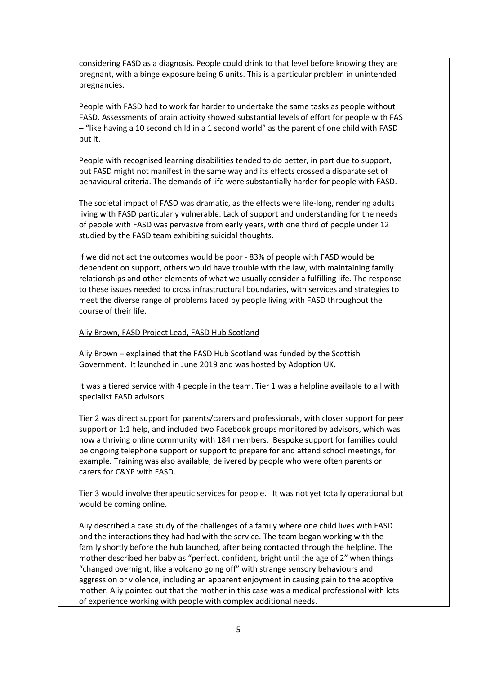considering FASD as a diagnosis. People could drink to that level before knowing they are pregnant, with a binge exposure being 6 units. This is a particular problem in unintended pregnancies.

People with FASD had to work far harder to undertake the same tasks as people without FASD. Assessments of brain activity showed substantial levels of effort for people with FAS – "like having a 10 second child in a 1 second world" as the parent of one child with FASD put it.

People with recognised learning disabilities tended to do better, in part due to support, but FASD might not manifest in the same way and its effects crossed a disparate set of behavioural criteria. The demands of life were substantially harder for people with FASD.

The societal impact of FASD was dramatic, as the effects were life-long, rendering adults living with FASD particularly vulnerable. Lack of support and understanding for the needs of people with FASD was pervasive from early years, with one third of people under 12 studied by the FASD team exhibiting suicidal thoughts.

If we did not act the outcomes would be poor - 83% of people with FASD would be dependent on support, others would have trouble with the law, with maintaining family relationships and other elements of what we usually consider a fulfilling life. The response to these issues needed to cross infrastructural boundaries, with services and strategies to meet the diverse range of problems faced by people living with FASD throughout the course of their life.

## Aliy Brown, FASD Project Lead, FASD Hub Scotland

Aliy Brown – explained that the FASD Hub Scotland was funded by the Scottish Government. It launched in June 2019 and was hosted by Adoption UK.

It was a tiered service with 4 people in the team. Tier 1 was a helpline available to all with specialist FASD advisors.

Tier 2 was direct support for parents/carers and professionals, with closer support for peer support or 1:1 help, and included two Facebook groups monitored by advisors, which was now a thriving online community with 184 members. Bespoke support for families could be ongoing telephone support or support to prepare for and attend school meetings, for example. Training was also available, delivered by people who were often parents or carers for C&YP with FASD.

Tier 3 would involve therapeutic services for people. It was not yet totally operational but would be coming online.

Aliy described a case study of the challenges of a family where one child lives with FASD and the interactions they had had with the service. The team began working with the family shortly before the hub launched, after being contacted through the helpline. The mother described her baby as "perfect, confident, bright until the age of 2" when things "changed overnight, like a volcano going off" with strange sensory behaviours and aggression or violence, including an apparent enjoyment in causing pain to the adoptive mother. Aliy pointed out that the mother in this case was a medical professional with lots of experience working with people with complex additional needs.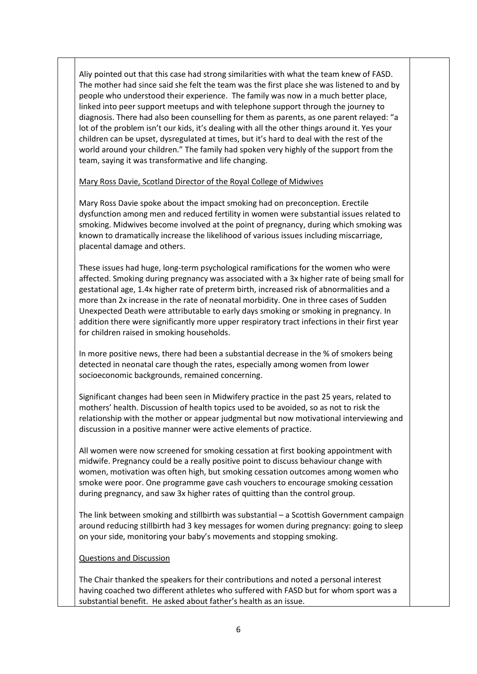Aliy pointed out that this case had strong similarities with what the team knew of FASD. The mother had since said she felt the team was the first place she was listened to and by people who understood their experience. The family was now in a much better place, linked into peer support meetups and with telephone support through the journey to diagnosis. There had also been counselling for them as parents, as one parent relayed: "a lot of the problem isn't our kids, it's dealing with all the other things around it. Yes your children can be upset, dysregulated at times, but it's hard to deal with the rest of the world around your children." The family had spoken very highly of the support from the team, saying it was transformative and life changing.

Mary Ross Davie, Scotland Director of the Royal College of Midwives

Mary Ross Davie spoke about the impact smoking had on preconception. Erectile dysfunction among men and reduced fertility in women were substantial issues related to smoking. Midwives become involved at the point of pregnancy, during which smoking was known to dramatically increase the likelihood of various issues including miscarriage, placental damage and others.

These issues had huge, long-term psychological ramifications for the women who were affected. Smoking during pregnancy was associated with a 3x higher rate of being small for gestational age, 1.4x higher rate of preterm birth, increased risk of abnormalities and a more than 2x increase in the rate of neonatal morbidity. One in three cases of Sudden Unexpected Death were attributable to early days smoking or smoking in pregnancy. In addition there were significantly more upper respiratory tract infections in their first year for children raised in smoking households.

In more positive news, there had been a substantial decrease in the % of smokers being detected in neonatal care though the rates, especially among women from lower socioeconomic backgrounds, remained concerning.

Significant changes had been seen in Midwifery practice in the past 25 years, related to mothers' health. Discussion of health topics used to be avoided, so as not to risk the relationship with the mother or appear judgmental but now motivational interviewing and discussion in a positive manner were active elements of practice.

All women were now screened for smoking cessation at first booking appointment with midwife. Pregnancy could be a really positive point to discuss behaviour change with women, motivation was often high, but smoking cessation outcomes among women who smoke were poor. One programme gave cash vouchers to encourage smoking cessation during pregnancy, and saw 3x higher rates of quitting than the control group.

The link between smoking and stillbirth was substantial – a Scottish Government campaign around reducing stillbirth had 3 key messages for women during pregnancy: going to sleep on your side, monitoring your baby's movements and stopping smoking.

## Questions and Discussion

The Chair thanked the speakers for their contributions and noted a personal interest having coached two different athletes who suffered with FASD but for whom sport was a substantial benefit. He asked about father's health as an issue.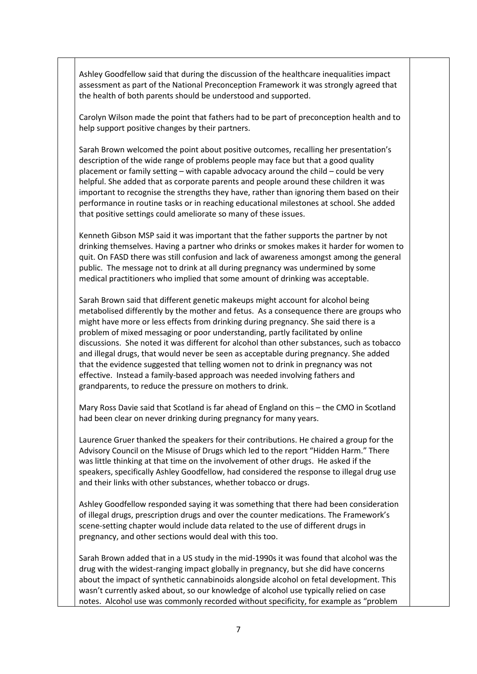Ashley Goodfellow said that during the discussion of the healthcare inequalities impact assessment as part of the National Preconception Framework it was strongly agreed that the health of both parents should be understood and supported.

Carolyn Wilson made the point that fathers had to be part of preconception health and to help support positive changes by their partners.

Sarah Brown welcomed the point about positive outcomes, recalling her presentation's description of the wide range of problems people may face but that a good quality placement or family setting – with capable advocacy around the child – could be very helpful. She added that as corporate parents and people around these children it was important to recognise the strengths they have, rather than ignoring them based on their performance in routine tasks or in reaching educational milestones at school. She added that positive settings could ameliorate so many of these issues.

Kenneth Gibson MSP said it was important that the father supports the partner by not drinking themselves. Having a partner who drinks or smokes makes it harder for women to quit. On FASD there was still confusion and lack of awareness amongst among the general public. The message not to drink at all during pregnancy was undermined by some medical practitioners who implied that some amount of drinking was acceptable.

Sarah Brown said that different genetic makeups might account for alcohol being metabolised differently by the mother and fetus. As a consequence there are groups who might have more or less effects from drinking during pregnancy. She said there is a problem of mixed messaging or poor understanding, partly facilitated by online discussions. She noted it was different for alcohol than other substances, such as tobacco and illegal drugs, that would never be seen as acceptable during pregnancy. She added that the evidence suggested that telling women not to drink in pregnancy was not effective. Instead a family-based approach was needed involving fathers and grandparents, to reduce the pressure on mothers to drink.

Mary Ross Davie said that Scotland is far ahead of England on this – the CMO in Scotland had been clear on never drinking during pregnancy for many years.

Laurence Gruer thanked the speakers for their contributions. He chaired a group for the Advisory Council on the Misuse of Drugs which led to the report "Hidden Harm." There was little thinking at that time on the involvement of other drugs. He asked if the speakers, specifically Ashley Goodfellow, had considered the response to illegal drug use and their links with other substances, whether tobacco or drugs.

Ashley Goodfellow responded saying it was something that there had been consideration of illegal drugs, prescription drugs and over the counter medications. The Framework's scene-setting chapter would include data related to the use of different drugs in pregnancy, and other sections would deal with this too.

Sarah Brown added that in a US study in the mid-1990s it was found that alcohol was the drug with the widest-ranging impact globally in pregnancy, but she did have concerns about the impact of synthetic cannabinoids alongside alcohol on fetal development. This wasn't currently asked about, so our knowledge of alcohol use typically relied on case notes. Alcohol use was commonly recorded without specificity, for example as "problem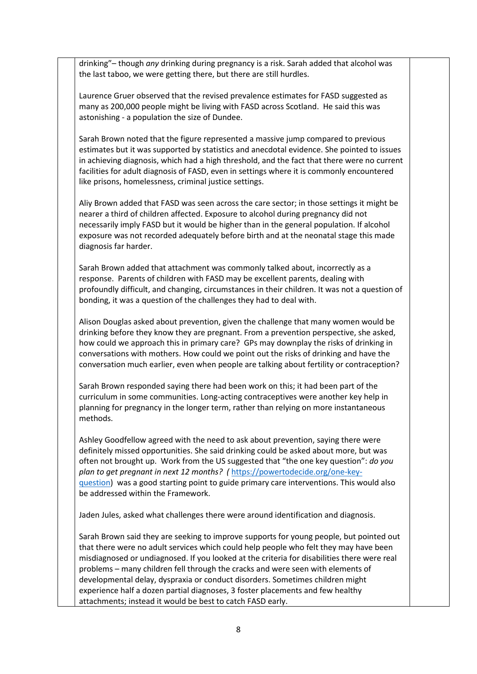drinking"– though *any* drinking during pregnancy is a risk. Sarah added that alcohol was the last taboo, we were getting there, but there are still hurdles.

Laurence Gruer observed that the revised prevalence estimates for FASD suggested as many as 200,000 people might be living with FASD across Scotland. He said this was astonishing - a population the size of Dundee.

Sarah Brown noted that the figure represented a massive jump compared to previous estimates but it was supported by statistics and anecdotal evidence. She pointed to issues in achieving diagnosis, which had a high threshold, and the fact that there were no current facilities for adult diagnosis of FASD, even in settings where it is commonly encountered like prisons, homelessness, criminal justice settings.

Aliy Brown added that FASD was seen across the care sector; in those settings it might be nearer a third of children affected. Exposure to alcohol during pregnancy did not necessarily imply FASD but it would be higher than in the general population. If alcohol exposure was not recorded adequately before birth and at the neonatal stage this made diagnosis far harder.

Sarah Brown added that attachment was commonly talked about, incorrectly as a response. Parents of children with FASD may be excellent parents, dealing with profoundly difficult, and changing, circumstances in their children. It was not a question of bonding, it was a question of the challenges they had to deal with.

Alison Douglas asked about prevention, given the challenge that many women would be drinking before they know they are pregnant. From a prevention perspective, she asked, how could we approach this in primary care? GPs may downplay the risks of drinking in conversations with mothers. How could we point out the risks of drinking and have the conversation much earlier, even when people are talking about fertility or contraception?

Sarah Brown responded saying there had been work on this; it had been part of the curriculum in some communities. Long-acting contraceptives were another key help in planning for pregnancy in the longer term, rather than relying on more instantaneous methods.

Ashley Goodfellow agreed with the need to ask about prevention, saying there were definitely missed opportunities. She said drinking could be asked about more, but was often not brought up. Work from the US suggested that "the one key question": *do you plan to get pregnant in next 12 months? (* [https://powertodecide.org/one-key](https://powertodecide.org/one-key-question)[question\)](https://powertodecide.org/one-key-question) was a good starting point to guide primary care interventions. This would also be addressed within the Framework.

Jaden Jules, asked what challenges there were around identification and diagnosis.

Sarah Brown said they are seeking to improve supports for young people, but pointed out that there were no adult services which could help people who felt they may have been misdiagnosed or undiagnosed. If you looked at the criteria for disabilities there were real problems – many children fell through the cracks and were seen with elements of developmental delay, dyspraxia or conduct disorders. Sometimes children might experience half a dozen partial diagnoses, 3 foster placements and few healthy attachments; instead it would be best to catch FASD early.